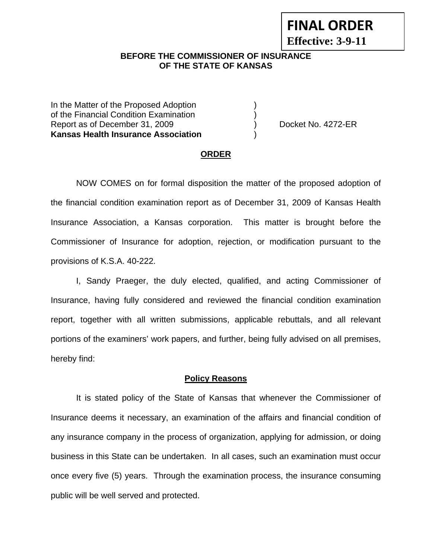# **FINAL ORDER**

**Effective: 3-9-11** 

## **BEFORE THE COMMISSIONER OF INSURANCE OF THE STATE OF KANSAS**

In the Matter of the Proposed Adoption of the Financial Condition Examination ) Report as of December 31, 2009 (and Contact Contact Contact No. 4272-ER **Kansas Health Insurance Association** )

#### **ORDER**

 NOW COMES on for formal disposition the matter of the proposed adoption of the financial condition examination report as of December 31, 2009 of Kansas Health Insurance Association, a Kansas corporation. This matter is brought before the Commissioner of Insurance for adoption, rejection, or modification pursuant to the provisions of K.S.A. 40-222.

 I, Sandy Praeger, the duly elected, qualified, and acting Commissioner of Insurance, having fully considered and reviewed the financial condition examination report, together with all written submissions, applicable rebuttals, and all relevant portions of the examiners' work papers, and further, being fully advised on all premises, hereby find:

#### **Policy Reasons**

 It is stated policy of the State of Kansas that whenever the Commissioner of Insurance deems it necessary, an examination of the affairs and financial condition of any insurance company in the process of organization, applying for admission, or doing business in this State can be undertaken. In all cases, such an examination must occur once every five (5) years. Through the examination process, the insurance consuming public will be well served and protected.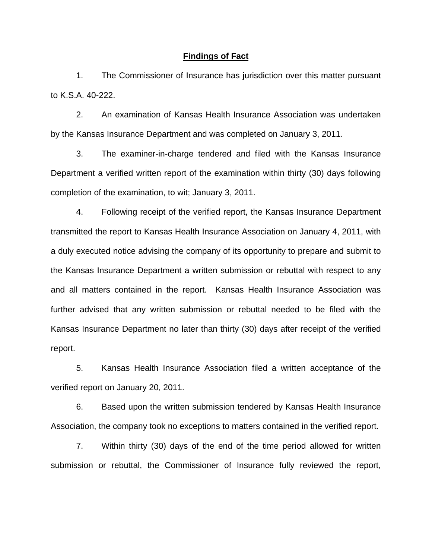#### **Findings of Fact**

 1. The Commissioner of Insurance has jurisdiction over this matter pursuant to K.S.A. 40-222.

 2. An examination of Kansas Health Insurance Association was undertaken by the Kansas Insurance Department and was completed on January 3, 2011.

 3. The examiner-in-charge tendered and filed with the Kansas Insurance Department a verified written report of the examination within thirty (30) days following completion of the examination, to wit; January 3, 2011.

 4. Following receipt of the verified report, the Kansas Insurance Department transmitted the report to Kansas Health Insurance Association on January 4, 2011, with a duly executed notice advising the company of its opportunity to prepare and submit to the Kansas Insurance Department a written submission or rebuttal with respect to any and all matters contained in the report. Kansas Health Insurance Association was further advised that any written submission or rebuttal needed to be filed with the Kansas Insurance Department no later than thirty (30) days after receipt of the verified report.

5. Kansas Health Insurance Association filed a written acceptance of the verified report on January 20, 2011.

6. Based upon the written submission tendered by Kansas Health Insurance Association, the company took no exceptions to matters contained in the verified report.

 7. Within thirty (30) days of the end of the time period allowed for written submission or rebuttal, the Commissioner of Insurance fully reviewed the report,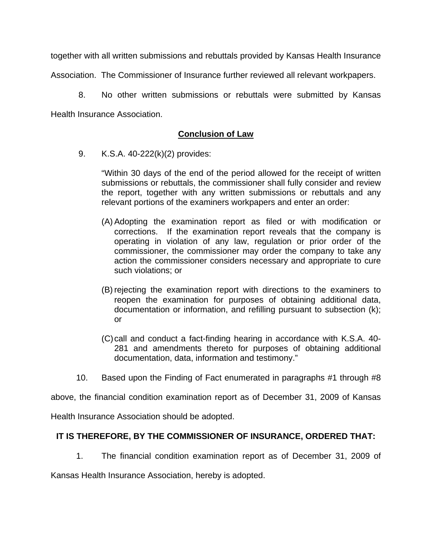together with all written submissions and rebuttals provided by Kansas Health Insurance

Association. The Commissioner of Insurance further reviewed all relevant workpapers.

 8. No other written submissions or rebuttals were submitted by Kansas Health Insurance Association.

## **Conclusion of Law**

9. K.S.A. 40-222(k)(2) provides:

"Within 30 days of the end of the period allowed for the receipt of written submissions or rebuttals, the commissioner shall fully consider and review the report, together with any written submissions or rebuttals and any relevant portions of the examiners workpapers and enter an order:

- (A) Adopting the examination report as filed or with modification or corrections. If the examination report reveals that the company is operating in violation of any law, regulation or prior order of the commissioner, the commissioner may order the company to take any action the commissioner considers necessary and appropriate to cure such violations; or
- (B) rejecting the examination report with directions to the examiners to reopen the examination for purposes of obtaining additional data, documentation or information, and refilling pursuant to subsection (k); or
- (C) call and conduct a fact-finding hearing in accordance with K.S.A. 40- 281 and amendments thereto for purposes of obtaining additional documentation, data, information and testimony."
- 10. Based upon the Finding of Fact enumerated in paragraphs #1 through #8

above, the financial condition examination report as of December 31, 2009 of Kansas

Health Insurance Association should be adopted.

## **IT IS THEREFORE, BY THE COMMISSIONER OF INSURANCE, ORDERED THAT:**

1. The financial condition examination report as of December 31, 2009 of

Kansas Health Insurance Association, hereby is adopted.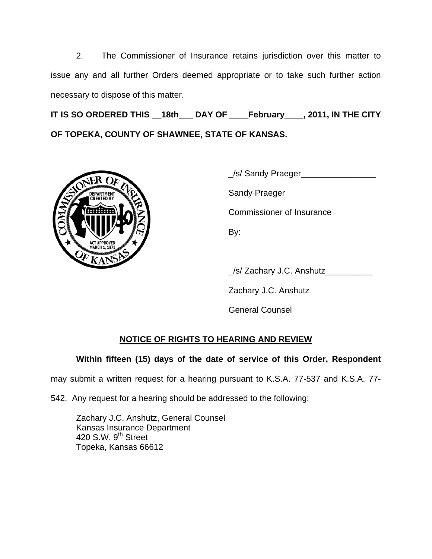2. The Commissioner of Insurance retains jurisdiction over this matter to issue any and all further Orders deemed appropriate or to take such further action necessary to dispose of this matter.

**IT IS SO ORDERED THIS \_\_18th\_\_\_ DAY OF \_\_\_\_February\_\_\_\_, 2011, IN THE CITY OF TOPEKA, COUNTY OF SHAWNEE, STATE OF KANSAS.** 



\_/s/ Sandy Praeger\_\_\_\_\_\_\_\_\_\_\_\_\_\_\_\_

Commissioner of Insurance

\_/s/ Zachary J.C. Anshutz\_\_\_\_\_\_\_\_\_\_

Zachary J.C. Anshutz

General Counsel

# **NOTICE OF RIGHTS TO HEARING AND REVIEW**

**Within fifteen (15) days of the date of service of this Order, Respondent**

may submit a written request for a hearing pursuant to K.S.A. 77-537 and K.S.A. 77-

542. Any request for a hearing should be addressed to the following:

 Zachary J.C. Anshutz, General Counsel Kansas Insurance Department 420 S.W. 9<sup>th</sup> Street Topeka, Kansas 66612